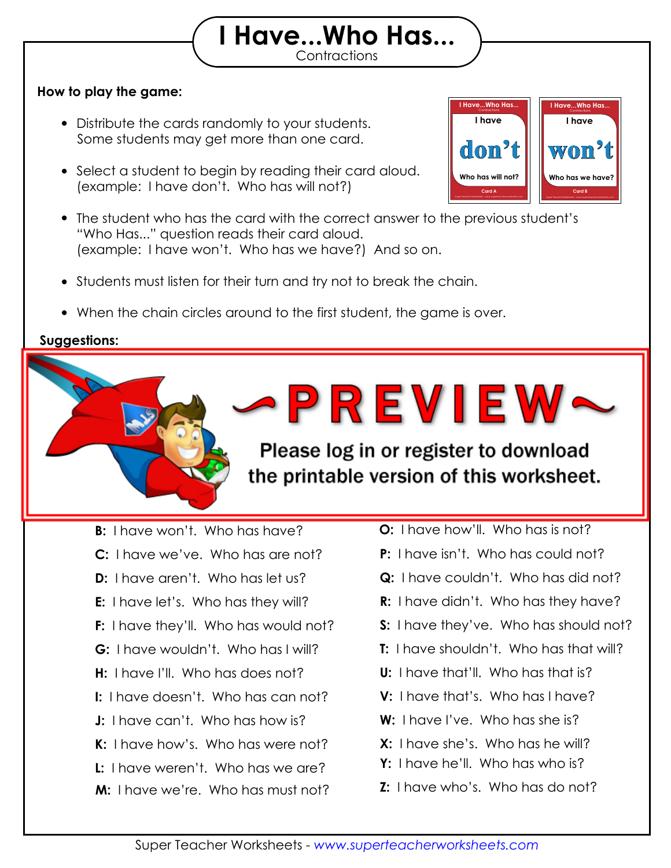## **How to play the game:**

- Distribute the cards randomly to your students. Some students may get more than one card.
- Select a student to begin by reading their card aloud. (example: I have don't. Who has will not?)
- The student who has the card with the correct answer to the previous student's "Who Has..." question reads their card aloud. (example: I have won't. Who has we have?) And so on.

Print out the "I Have, Who Has" flashcards on card stock and laminate them so they will

 $\blacksquare$  practice the game on the game on  $\blacksquare$ 

**Contractions I Have...Who Has...**

- Students must listen for their turn and try not to break the chain.
- When the chain circles around to the first student, the game is over.

then see if they can "beat the timer." Set a timer for 2 minutes, 5 minutes,

## **Suggestions:**

**Answer Chain:**

last for many years to come.

or any amount of time you choose.

the printable version of this worksheet. **A:** I have don't. Who will not? **N:** I have mustn't. Who has how will? **B:** I have won't. Who has have? **C:** I have we've. Who has are not? **D:** I have aren't. Who has let us? **E:** I have let's. Who has they will? **F:** I have they'll. Who has would not? **G:** I have wouldn't. Who has I will?

- **H:** I have I'll. Who has does not?
- **I:** I have doesn't. Who has can not?
- **J:** I have can't. Who has how is?
- **K:** I have how's. Who has were not?
- **L:** I have weren't. Who has we are?
- **M:** I have we're. Who has must not?

**O:** I have how'll. Who has is not?

Contractions **I Have...Who Has...**

**Have...Who Ha** 

**I have**

Super Teacher Worksheets - *www.superteacherworksheets.com* **Card B**

**Who has we have?**

**won't**

**I have**

Super Teacher Worksheets - *www.superteacherworksheets.com* **Card A**

**Who has will not?**

**don't**

Please log in or register to download

- **P:** I have isn't. Who has could not?
- **Q:** I have couldn't. Who has did not?
- **R:** I have didn't. Who has they have?
- **S:** I have they've. Who has should not?
- **T:** I have shouldn't. Who has that will?
- **U:** I have that'll. Who has that is?
- **V:** I have that's. Who has I have?
- **W:** I have I've. Who has she is?
- **X:** I have she's. Who has he will?
- **Y:** I have he'll. Who has who is?
- **Z:** I have who's. Who has do not?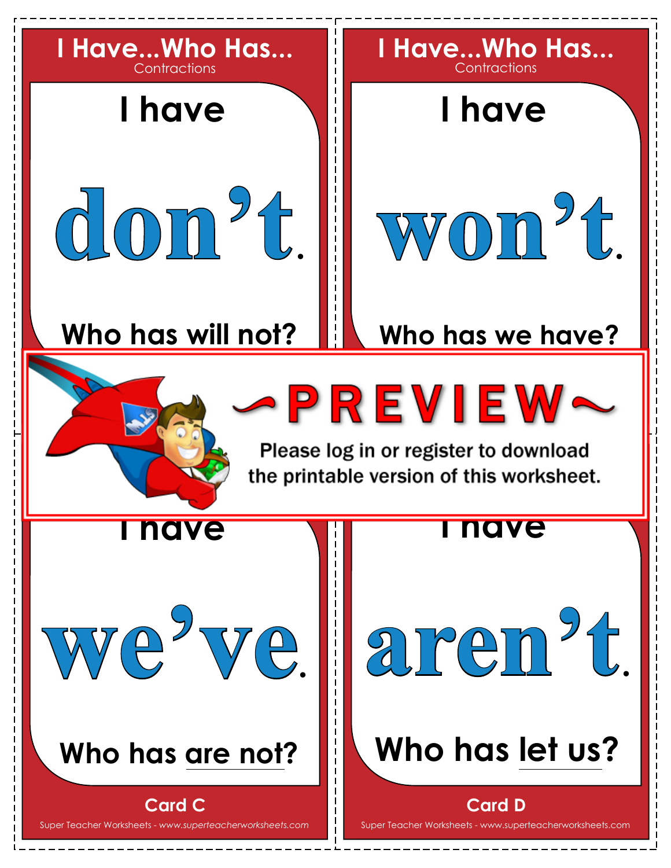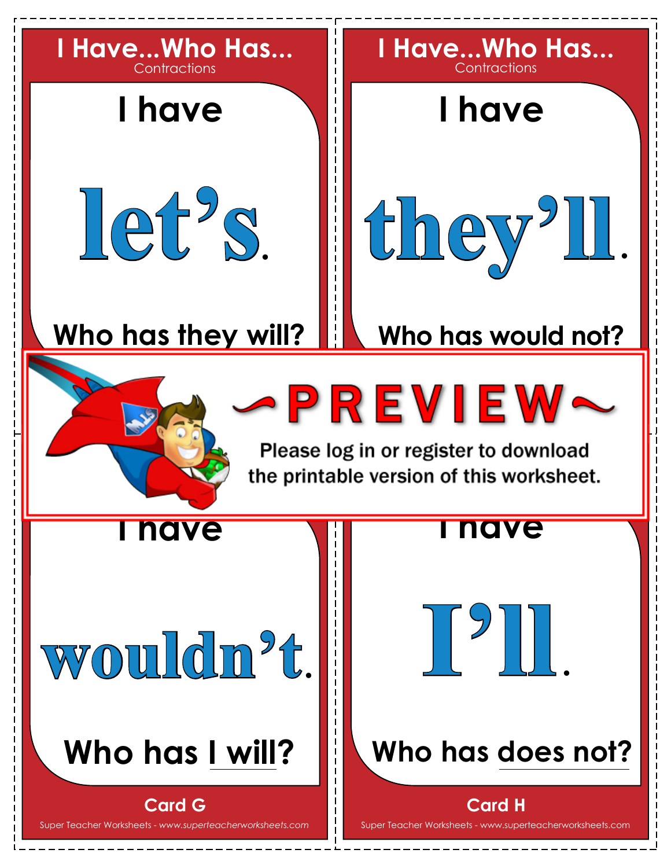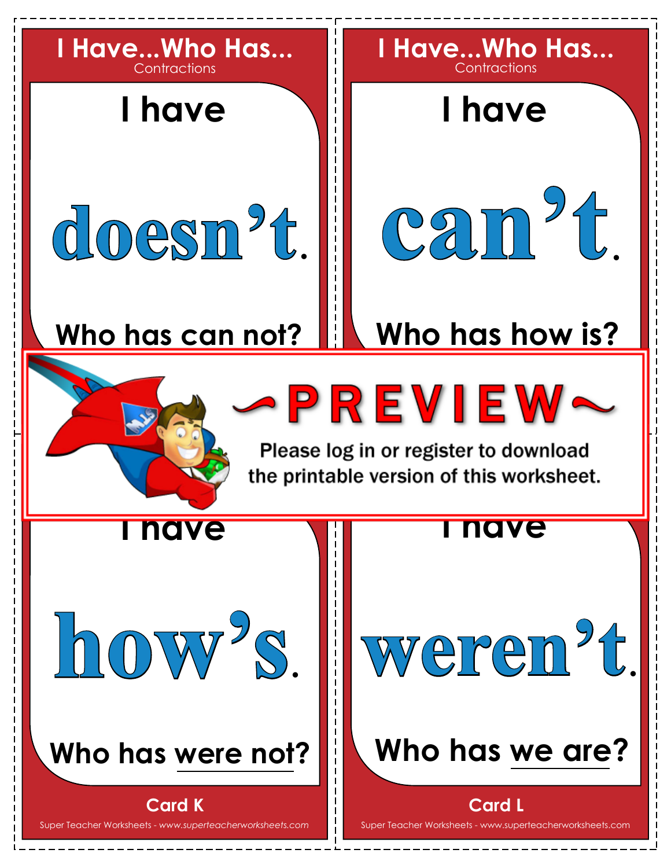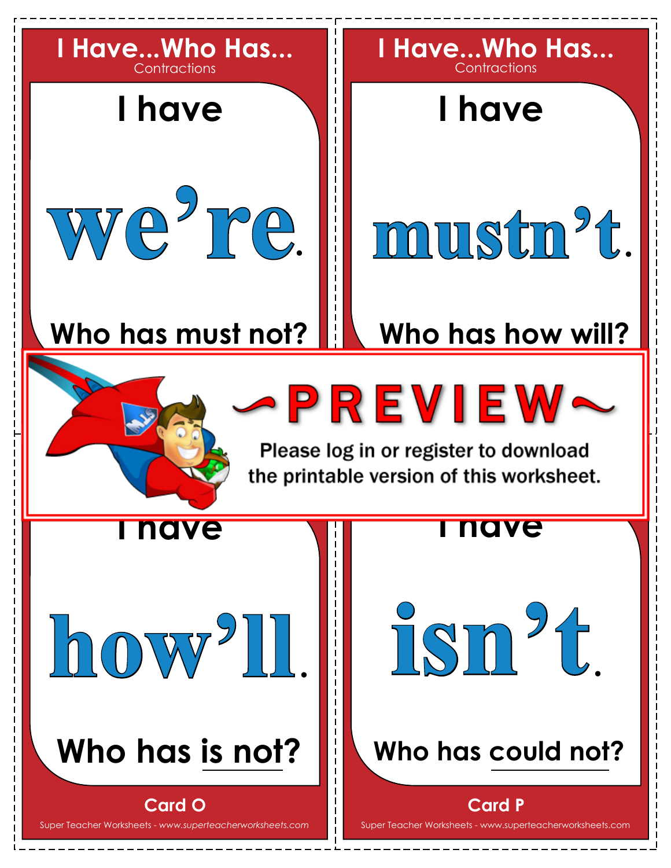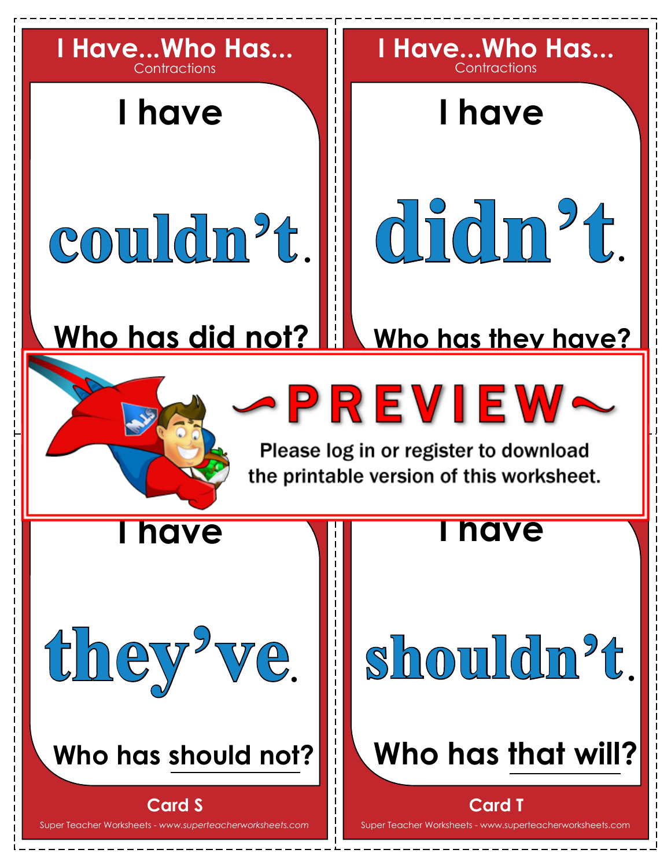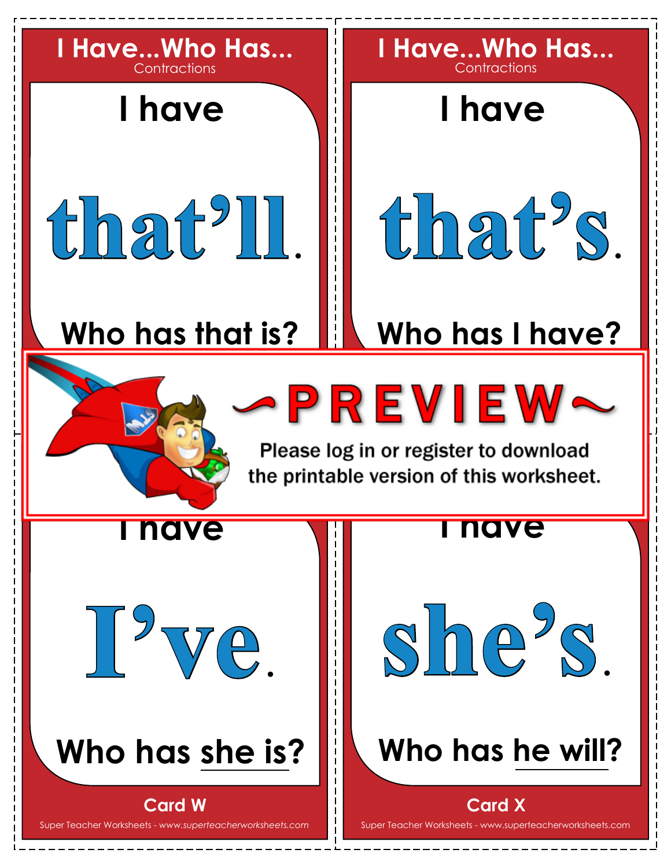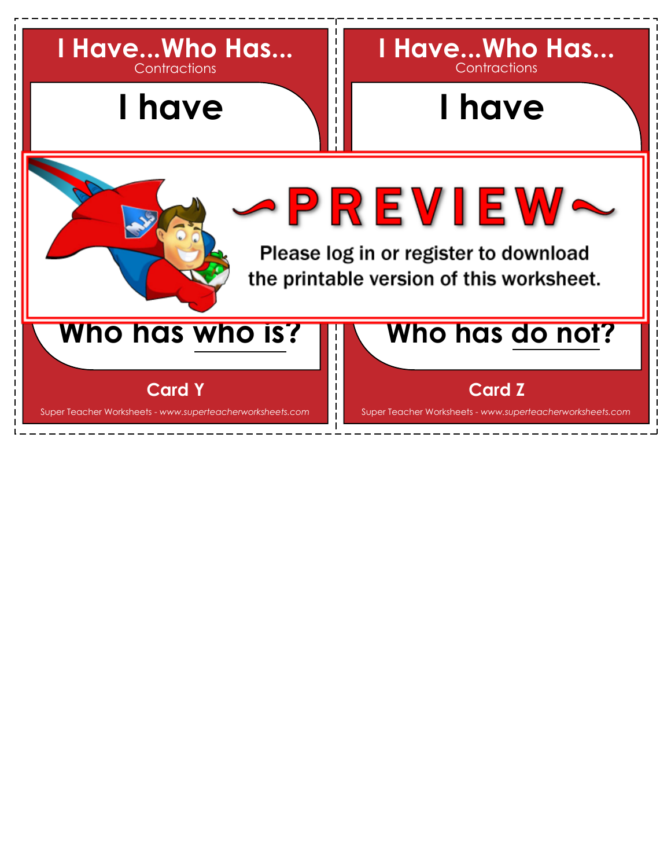